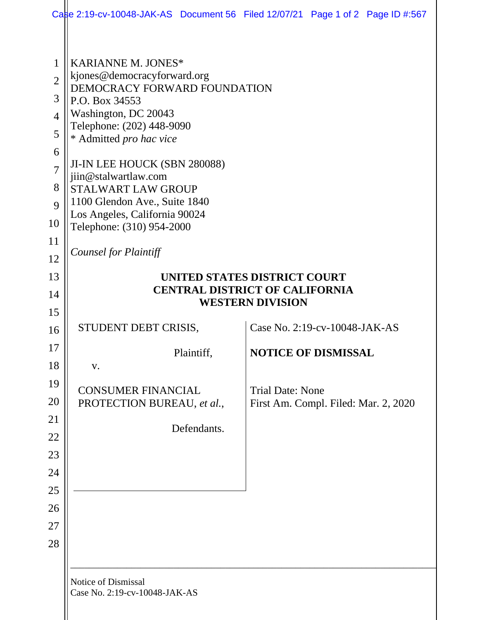|                                                                                  |                                                                                                                                                                                                                                                                                                                                                   | Case 2:19-cv-10048-JAK-AS Document 56 Filed 12/07/21 Page 1 of 2 Page ID #:567 |
|----------------------------------------------------------------------------------|---------------------------------------------------------------------------------------------------------------------------------------------------------------------------------------------------------------------------------------------------------------------------------------------------------------------------------------------------|--------------------------------------------------------------------------------|
| 1<br>$\overline{2}$<br>3<br>$\overline{4}$<br>5<br>6<br>$\overline{7}$<br>8<br>9 | <b>KARIANNE M. JONES*</b><br>kjones@democracyforward.org<br>DEMOCRACY FORWARD FOUNDATION<br>P.O. Box 34553<br>Washington, DC 20043<br>Telephone: (202) 448-9090<br>* Admitted pro hac vice<br>JI-IN LEE HOUCK (SBN 280088)<br>jiin@stalwartlaw.com<br><b>STALWART LAW GROUP</b><br>1100 Glendon Ave., Suite 1840<br>Los Angeles, California 90024 |                                                                                |
| 10<br>11                                                                         | Telephone: (310) 954-2000                                                                                                                                                                                                                                                                                                                         |                                                                                |
| 12                                                                               | Counsel for Plaintiff                                                                                                                                                                                                                                                                                                                             |                                                                                |
| 13                                                                               | UNITED STATES DISTRICT COURT                                                                                                                                                                                                                                                                                                                      |                                                                                |
| 14                                                                               | <b>CENTRAL DISTRICT OF CALIFORNIA</b><br><b>WESTERN DIVISION</b>                                                                                                                                                                                                                                                                                  |                                                                                |
| 15                                                                               |                                                                                                                                                                                                                                                                                                                                                   |                                                                                |
| 16                                                                               | STUDENT DEBT CRISIS,                                                                                                                                                                                                                                                                                                                              | Case No. 2:19-cv-10048-JAK-AS                                                  |
| 17                                                                               | Plaintiff,                                                                                                                                                                                                                                                                                                                                        | <b>NOTICE OF DISMISSAL</b>                                                     |
| 18                                                                               | V.                                                                                                                                                                                                                                                                                                                                                |                                                                                |
| 19<br>20                                                                         | <b>CONSUMER FINANCIAL</b>                                                                                                                                                                                                                                                                                                                         | <b>Trial Date: None</b>                                                        |
| 21                                                                               | PROTECTION BUREAU, et al.,                                                                                                                                                                                                                                                                                                                        | First Am. Compl. Filed: Mar. 2, 2020                                           |
| 22                                                                               | Defendants.                                                                                                                                                                                                                                                                                                                                       |                                                                                |
| 23                                                                               |                                                                                                                                                                                                                                                                                                                                                   |                                                                                |
| 24                                                                               |                                                                                                                                                                                                                                                                                                                                                   |                                                                                |
| 25                                                                               |                                                                                                                                                                                                                                                                                                                                                   |                                                                                |
| 26                                                                               |                                                                                                                                                                                                                                                                                                                                                   |                                                                                |
| 27                                                                               |                                                                                                                                                                                                                                                                                                                                                   |                                                                                |
| 28                                                                               |                                                                                                                                                                                                                                                                                                                                                   |                                                                                |
|                                                                                  |                                                                                                                                                                                                                                                                                                                                                   |                                                                                |
|                                                                                  | Notice of Dismissal<br>Case No. 2:19-cv-10048-JAK-AS                                                                                                                                                                                                                                                                                              |                                                                                |